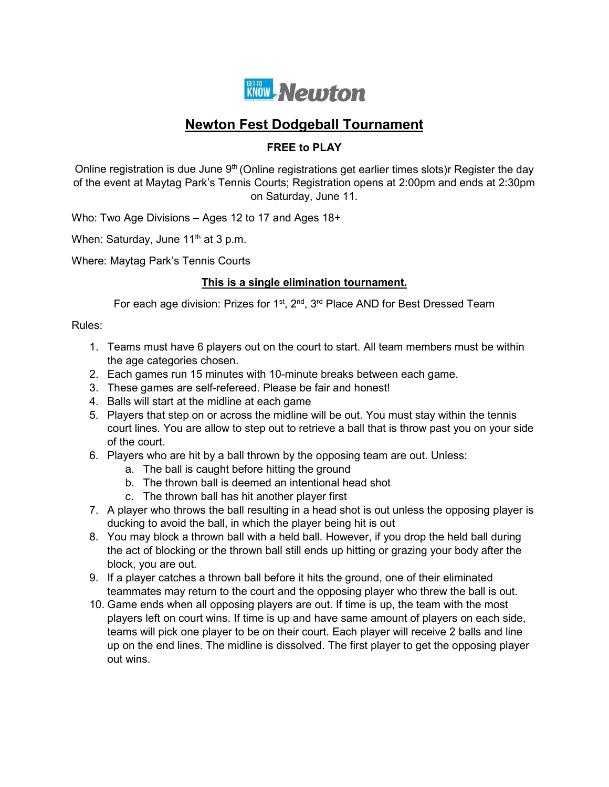

# **Newton Fest Dodgeball Tournament**

### **FREE to PLAY**

Online registration is due June  $9<sup>th</sup>$  (Online registrations get earlier times slots)r Register the day of the event at Maytag Park's Tennis Courts; Registration opens at 2:00pm and ends at 2:30pm on Saturday, June 11.

Who: Two Age Divisions – Ages 12 to 17 and Ages 18+

When: Saturday, June  $11<sup>th</sup>$  at 3 p.m.

Where: Maytag Park's Tennis Courts

### **This is a single elimination tournament.**

For each age division: Prizes for  $1^{st}$ ,  $2^{nd}$ ,  $3^{rd}$  Place AND for Best Dressed Team

Rules:

- 1. Teams must have 6 players out on the court to start. All team members must be within the age categories chosen.
- 2. Each games run 15 minutes with 10-minute breaks between each game.
- 3. These games are self-refereed. Please be fair and honest!
- 4. Balls will start at the midline at each game
- 5. Players that step on or across the midline will be out. You must stay within the tennis court lines. You are allow to step out to retrieve a ball that is throw past you on your side of the court.
- 6. Players who are hit by a ball thrown by the opposing team are out. Unless:
	- a. The ball is caught before hitting the ground
	- b. The thrown ball is deemed an intentional head shot
	- c. The thrown ball has hit another player first
- 7. A player who throws the ball resulting in a head shot is out unless the opposing player is ducking to avoid the ball, in which the player being hit is out
- 8. You may block a thrown ball with a held ball. However, if you drop the held ball during the act of blocking or the thrown ball still ends up hitting or grazing your body after the block, you are out.
- 9. If a player catches a thrown ball before it hits the ground, one of their eliminated teammates may return to the court and the opposing player who threw the ball is out.
- 10. Game ends when all opposing players are out. If time is up, the team with the most players left on court wins. If time is up and have same amount of players on each side, teams will pick one player to be on their court. Each player will receive 2 balls and line up on the end lines. The midline is dissolved. The first player to get the opposing player out wins.